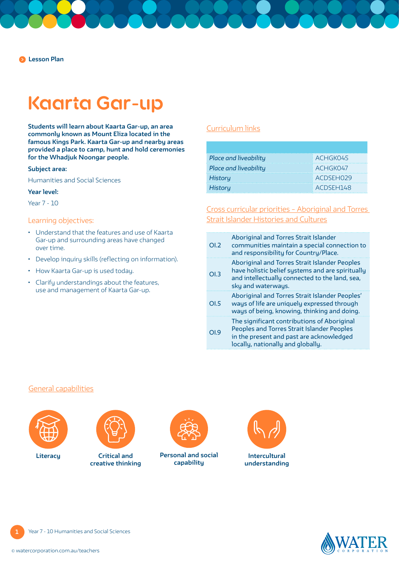# **Kaarta Gar-up**

**Students will learn about Kaarta Gar-up, an area commonly known as Mount Eliza located in the famous Kings Park. Kaarta Gar-up and nearby areas provided a place to camp, hunt and hold ceremonies for the Whadjuk Noongar people.**

#### **Subject area:**

Humanities and Social Sciences

#### **Year level:**

Year 7 - 10

#### Learning objectives:

- Understand that the features and use of Kaarta Gar-up and surrounding areas have changed over time.
- Develop inquiry skills (reflecting on information).
- How Kaarta Gar-up is used today.
- Clarify understandings about the features, use and management of Kaarta Gar-up.

#### [Curriculum links](https://k10outline.scsa.wa.edu.au/home/teaching/curriculum-browser/humanities-and-social-sciences)

| Place and liveability | <b>ACHGK045</b> |
|-----------------------|-----------------|
| Place and liveability | <b>ACHGK047</b> |
| <b>History</b>        | : ACDSEH029     |
| <b>History</b>        | ACDSEH148       |

### [Cross curricular priorities – Aboriginal and Torres](https://www.australiancurriculum.edu.au/f-10-curriculum/cross-curriculum-priorities/aboriginal-and-torres-strait-islander-histories-and-cultures/)  [Strait Islander Histories and Cultures](https://www.australiancurriculum.edu.au/f-10-curriculum/cross-curriculum-priorities/aboriginal-and-torres-strait-islander-histories-and-cultures/)

| OL2              | <b>Aboriginal and Torres Strait Islander</b><br>communities maintain a special connection to<br>and responsibility for Country/Place.                                             |
|------------------|-----------------------------------------------------------------------------------------------------------------------------------------------------------------------------------|
| O <sub>L</sub> 3 | <b>Aboriginal and Torres Strait Islander Peoples</b><br>have holistic belief systems and are spiritually<br>and intellectually connected to the land, sea,<br>sky and waterways.  |
| OLS              | Aboriginal and Torres Strait Islander Peoples'<br>ways of life are uniquely expressed through<br>ways of being, knowing, thinking and doing.                                      |
| O <sub>1.9</sub> | The significant contributions of Aboriginal<br><b>Peoples and Torres Strait Islander Peoples</b><br>in the present and past are acknowledged<br>locally, nationally and globally. |

#### [General capabilities](https://k10outline.scsa.wa.edu.au/home/teaching/general-capabilities-over/general-capabilities-overview/general-capabilities-in-the-australian-curriculum)





**Critical and creative thinking**



**Personal and social Literacy Intercultural capability**





**1**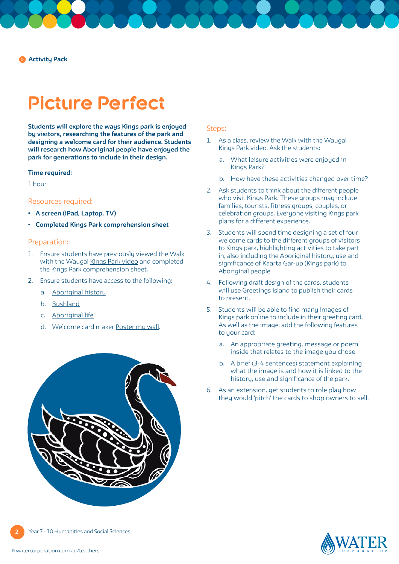**Activity Pack**

## **Picture Perfect**

**Students will explore the ways Kings park is enjoyed by visitors, researching the features of the park and designing a welcome card for their audience. Students will research how Aboriginal people have enjoyed the park for generations to include in their design.** 

#### **Time required:**

1 hour

#### Resources required:

- **• A screen (iPad, Laptop, TV)**
- **• Completed [Kings Park comprehension sheet](https://pw-cdn.watercorporation.com.au/-/media/WaterCorp/Documents/Education/Water-in-Aboriginal-culture/Comprehension-sheets/Kings-Park---WIAC.pdf?rev=c70b77df61a04a8587684f062f1e34d8)**

#### Preparation:

- 1. Ensure students have previously viewed the Walk with the Waugal [Kings Park video](https://www.watercorporation.com.au/Education/Water-in-Aboriginal-culture/Walk-with-the-Waugal-videos) and completed the [Kings Park comprehension sheet.](https://pw-cdn.watercorporation.com.au/-/media/WaterCorp/Documents/Education/Water-in-Aboriginal-culture/Comprehension-sheets/Kings-Park---WIAC.pdf?rev=c70b77df61a04a8587684f062f1e34d8)
- 2. Ensure students have access to the following:
	- a. [Aboriginal history](https://www.bgpa.wa.gov.au/kings-park/visit/history/aboriginal-history)
	- b. [Bushland](https://www.bgpa.wa.gov.au/kings-park/area/bushland)
	- c. [Aboriginal life](https://www.bgpa.wa.gov.au/images/pdf/kings_park/b_aboriginal_life_1019.pdf)
	- d. Welcome card maker [Poster my wall](https://www.postermywall.com/).





#### Steps:

- 1. As a class, review the Walk with the Waugal [Kings Park video.](https://www.watercorporation.com.au/Education/Water-in-Aboriginal-culture/Walk-with-the-Waugal-videos) Ask the students:
	- a. What leisure activities were enjoyed in Kings Park?
	- b. How have these activities changed over time?
- 2. Ask students to think about the different people who visit Kings Park. These groups may include families, tourists, fitness groups, couples, or celebration groups. Everyone visiting Kings park plans for a different experience.
- 3. Students will spend time designing a set of four welcome cards to the different groups of visitors to Kings park, highlighting activities to take part in, also including the Aboriginal history, use and significance of Kaarta Gar-up (Kings park) to Aboriginal people.
- 4. Following draft design of the cards, students will use Greetings island to publish their cards to present.
- 5. Students will be able to find many images of Kings park online to include in their greeting card. As well as the image, add the following features to your card:
	- a. An appropriate greeting, message or poem inside that relates to the image you chose.
	- b. A brief (3-4 sentences) statement explaining what the image is and how it is linked to the history, use and significance of the park.
- 6. As an extension, get students to role play how they would 'pitch' the cards to shop owners to sell.

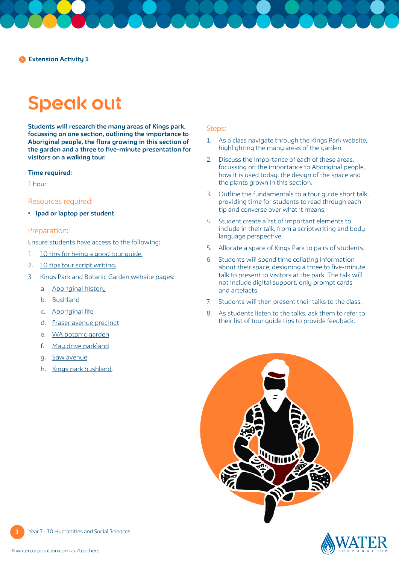# **Speak out**

**Students will research the many areas of Kings park, focussing on one section, outlining the importance to Aboriginal people, the flora growing in this section of the garden and a three to five-minute presentation for visitors on a walking tour.**

#### **Time required:**

1 hour

#### Resources required:

**• Ipad or laptop per student**

#### Preparation:

Ensure students have access to the following:

- 1. [10 tips for being a good tour guide.](https://savingplaces.org/stories/10-tuesday-tips-good-tour-guide#.X4Ojd9ozZPY)
- 2. [10 tips tour script writing.](https://audioconexus.com/10-tips-tour-script-writing/)
- 3. Kings Park and Botanic Garden website pages:
	- a. [Aboriginal history](https://www.bgpa.wa.gov.au/kings-park/visit/history/aboriginal-history)
	- b. [Bushland](https://www.bgpa.wa.gov.au/kings-park/area/bushland)
	- c. [Aboriginal life](https://www.bgpa.wa.gov.au/images/pdf/kings_park/b_aboriginal_life_1019.pdf)
	- d. [Fraser avenue precinct](https://www.bgpa.wa.gov.au/kings-park/area/fraser-avenue-precinct)
	- e. [WA botanic garden](https://www.bgpa.wa.gov.au/kings-park/area/wa-botanic-garden)
	- f. [May drive parkland](https://www.bgpa.wa.gov.au/kings-park/area/may-drive-parkland)
	- g. [Saw avenue](https://www.bgpa.wa.gov.au/kings-park/area/saw-avenue)
	- h. [Kings park bushland](https://www.bgpa.wa.gov.au/kings-park/area/bushland).

#### Steps:

- 1. As a class navigate through the Kings Park website, highlighting the many areas of the garden.
- 2. Discuss the importance of each of these areas, focussing on the importance to Aboriginal people, how it is used today, the design of the space and the plants grown in this section.
- 3. Outline the fundamentals to a tour guide short talk, providing time for students to read through each tip and converse over what it means.
- 4. Student create a list of important elements to include in their talk, from a scriptwriting and body language perspective.
- 5. Allocate a space of Kings Park to pairs of students.
- 6. Students will spend time collating information about their space, designing a three to five-minute talk to present to visitors at the park. The talk will not include digital support, only prompt cards and artefacts.
- 7. Students will then present their talks to the class.
- 8. As students listen to the talks, ask them to refer to their list of tour guide tips to provide feedback.





**3**